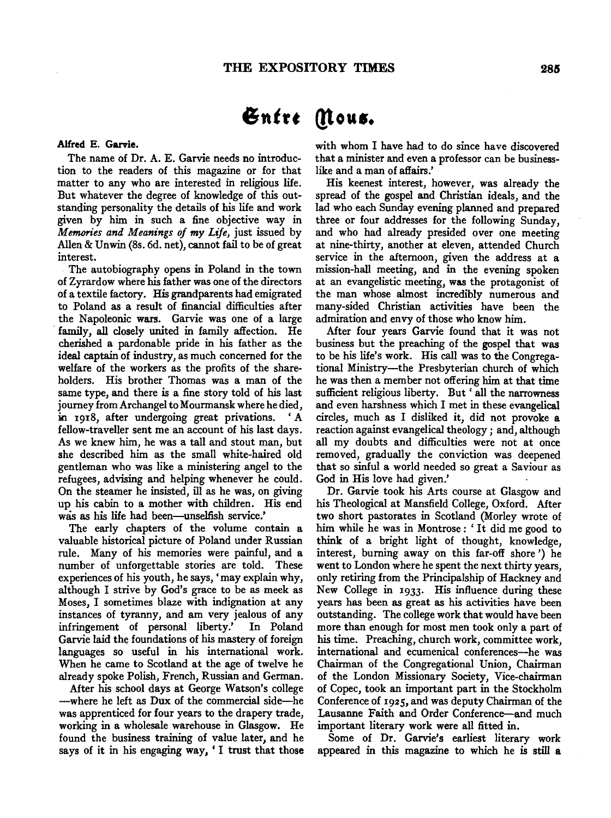# *<u>Entre</u>* (Nous.

#### Alfred E. Garvie.

The name of Dr. A. E. Garvie needs no introduction to the readers of this magazine or for that matter to any who are interested in religious life. But whatever the degree of knowledge of this outstanding personality the details of his life and work given by him in such a fine objective way in *Memories and Meanings of* my *Life,* just issued by Alien & Unwin (8s. 6d. net), cannot fail to be of great interest.

The autobiography opens in Poland in the town of Zyrardow where his father was one of the directors of a textile factory. His grandparents had emigrated to Poland as a result of financial difficulties after the Napoleonic wars. Garvie was one of a large family, all closely united in family affection. He cherished a pardonable pride in his father as the ideal captain of industry, as much concerned for the welfare of the workers as the profits of the shareholders. His brother Thomas was a man of the same type, and there is a fine story told of his last journey from Archangel to Mourmansk where he died, in 1918, after undergoing great privations. 'A fellow-traveller sent me an account of his last days. As we knew him, he was a tall and stout man, but she described him as the small white-haired old gentleman who was like a ministering angel to the refugees, advising and helping whenever he could. On the steamer he insisted, ill as he was, on giving up his cabin to a mother with children. His end was as his life had been-unselfish service.'

The early chapters of the volume contain a valuable historical picture of Poland under Russian rule. Many of his memories were painful, and a number of unforgettable stories are told. These experiences of his youth, he says, 'may explain why, although I strive by God's grace to be as meek as Moses, I sometimes blaze with indignation at any instances of tyranny, and am very jealous of any infringement of personal liberty.' In Poland Garvie laid the foundations of his mastery of foreign languages so useful in his international work. When he came to Scotland at the age of twelve he already spoke Polish, French, Russian and German.

After his school days at George Watson's college -where he left as Dux of the commercial side-he was apprenticed for four years to the drapery trade, working in a wholesale warehouse in Glasgow. He found the business training of value later, and he says of it in his engaging way, 'I trust that those

with whom I have had to do since have discovered that a minister and even a professor can be businesslike and a man of affairs.'

His keenest interest, however, was already the spread of the gospel and Christian ideals, and the lad who each Sunday evening planned and prepared three or four addresses for the following Sunday, and who had already presided over one meeting at nine-thirty, another at eleven, attended Church service in the afternoon, given the address at a mission-hall meeting, and in the evening spoken at an evangelistic meeting, was the protagonist of the man whose almost incredibly numerous and many-sided Christian activities have been the admiration and envy of those who know him.

After four years Garvie found that it was not business but the preaching of the gospel that was to be his life's work. His call was to the Congregational Ministry-the Presbyterian church of which he was then a member not offering him at that time sufficient religious liberty. But 'all the narrowness and even harshness which I met in these evangelical circles, much as I disliked it, did not provoke a reaction against evangelical theology; and, although all my doubts and difficulties were not at once removed, gradually the conviction was deepened that so sinful a world needed so great a Saviour as God in His love had given.'

Dr. Garvie took his Arts course at Glasgow and his Theological at Mansfield College, Oxford. Mter two short pastorates in Scotland (Morley wrote of him while he was in Montrose : ' It did me good to think of a bright light of thought, knowledge, interest, burning away on this far-off shore') he went to London where he spent the next thirty years, only retiring from the Principalship of Hackney and New College in 1933. His influence during these years has been as great as his activities have been outstanding. The college work that would have been more than enough for most men took only a part of his time. Preaching, church work, committee work, international and ecumenical conferences-he was Chairman of the Congregational Union, Chairman of the London Missionary Society, Vice-chairman of Copec, took an important part in the Stockholm Conference of 1925, and was deputy Chairman of the Lausanne Faith and Order Conference-and much important literary work were all fitted in.

Some of Dr. Garvie's earliest literary work appeared in this magazine to which he is still a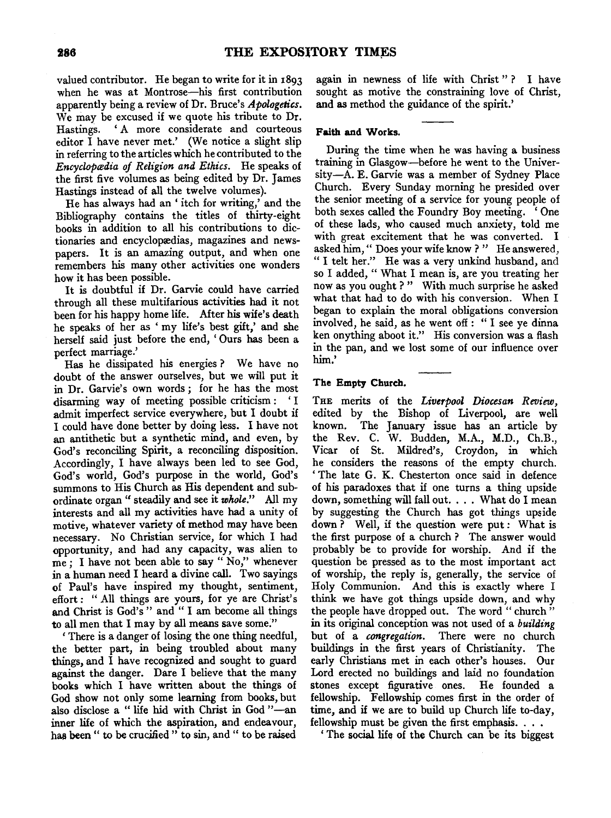valued contributor. He began to write for it in 1893 when he was at Montrose-his first contribution apparently being a review of Dr. Bruce's *Apologetics.*  We may be excused if we quote his tribute to Dr. Hastings. ' A more considerate and courteous editor  $\tilde{I}$  have never met.' (We notice a slight slip in referring to the articles which he contributed to the *Encyclopædia of Religion and Ethics.* He speaks of the first five volumes as being edited by Dr. James Hastings instead of all the twelve volumes).

He has always had an ' itch for writing,' and the Bibliography contains the titles of thirty-eight books in addition to all his contributions to dictionaries and encyclopædias, magazines and newspapers. It is an amazing output, and when one remembers his many other activities one wonders how it has been possible.

It is doubtful if Dr. Garvie could have carried through all these multifarious activities had it not been for his happy home life. After his wife's death he speaks of her as ' my life's best gift,' and she herself said just before the end, 'Ours has been a perfect marriage.'

Has he dissipated his energies? We have no doubt of the answer ourselves, but we will put it in Dr. Garvie's own words; for he has the most disarming way of meeting possible criticism : ' I admit imperfect service everywhere, but I doubt if I could have done better by doing less. I have not an antithetic but a synthetic mind, and even, by God's reconciling Spirit, a reconciling disposition. Accordingly, I have always been led to see God, God's world, God's purpose in the world, God's summons to His Church as His dependent and subordinate organ " steadily and see it *whole.''* All my interests and all my activities have had a unity of telests ally all life activities have have a unity of ouve, whatever variety of inctriou may have been necessary. No Christian service, for which I had opportunity, and had any capacity, was alien to me; I have not been able to say " No," whenever in a human need I heard a divine call. Two sayings of Paul's have inspired my thought, sentiment, effort: " All things are yours, for ye are Christ's and Christ is  $C_1 d^2$ ,  $d^2$  and  $d^2$  am become all things  $t_{\rm R}$  all men that I may by all means save some:" If their that I thay by an ineans save some.<br>There is a danger of losing the one thing needful

there is a danger of fosing the one thing needed, the better part, in being troubled about many things, and I have recognized and sought to guard against the danger. Dare I believe that the many books which I have written about the things of God show not only some learning from books, but also disclose a "life hid with Christ in God"—an<br>inner life of which the aspiration, and endeavour, has been " to be crucified " to sin, and " to be raised

again in newness of life with Christ"? I have sought as motive the constraining love of Christ, and as method the guidance of the spirit.'

# Faith and Works.

During the time when he was having a business training in Glasgow-before he went to the University-A. E. Garvie was a member of Sydney Place Church. Every Sunday morning he presided over the senior meeting of a service for young people of both sexes called the Foundry Boy meeting. 'One of these lads, who caused much anxiety, told me with great excitement that he was converted. I asked him," Does your wife know?" He answered, "I telt her." He was a very unkind husband, and so I added, " What I mean is, are you treating her now as you ought ? " With much surprise he asked what that had to do with his conversion. When I began to explain the moral obligations conversion involved, he said, as he went off: "I see ye dinna ken onything aboot it." His conversion was a flash In the pan, and we lost some of our influence over  $\mathbb{R}^n$ 

# The Empty Church.

THE merits of the *Liverpool Diocesan Review,*  edited by the Bishop of Liverpool, are well known. The January issue has an article by the Rev. C. W. Budden, M.A., M.D., Ch.B., Vicar of St. Mildred's, Croydon, in which he considers the reasons of the empty church. toursiders the reasons of the empty church.<br>The late G. K. Chesterton once said in defence The late  $G$ .  $\Lambda$ . Chesterton once said in detence of his paradoxes that if one turns a thing upside down, something will fall out. . . . What do I mean by suggesting the Church has got things upside down? Well, if the question were put: What is the first purpose of a church ? The answer would probably be to provide for worship. And if the question be pressed as to the most important act acsuoir de presseu as to the most important art Holy Communion. And this is exactly where I Holy Communion. And this is exactly where I think we have got things upside down, and why the we have got things upsite trown, and why in its original conception was not used of a *building*  in its original conception was not used of a *building*<br>but of a *congregation*. There were no church but of a *congregation*. There were no charch examples in the mst years of Unistrality. The early Christians met in each other's houses. Our Lord erected no buildings and laid no foundation<br>stones except figurative ones. He founded a fellowship. Fellowship comes first in the order of thowship. Fellowship comes life in the order of  $\frac{1}{2}$  and  $\frac{1}{2}$  are  $\frac{1}{2}$  church life to-day,  $f_{\text{eff}}$  and it we are to bund up church me to-day,

fellowship must be given the first emphasis.  $\dots$ <br>
'The social life of the Church can be its biggest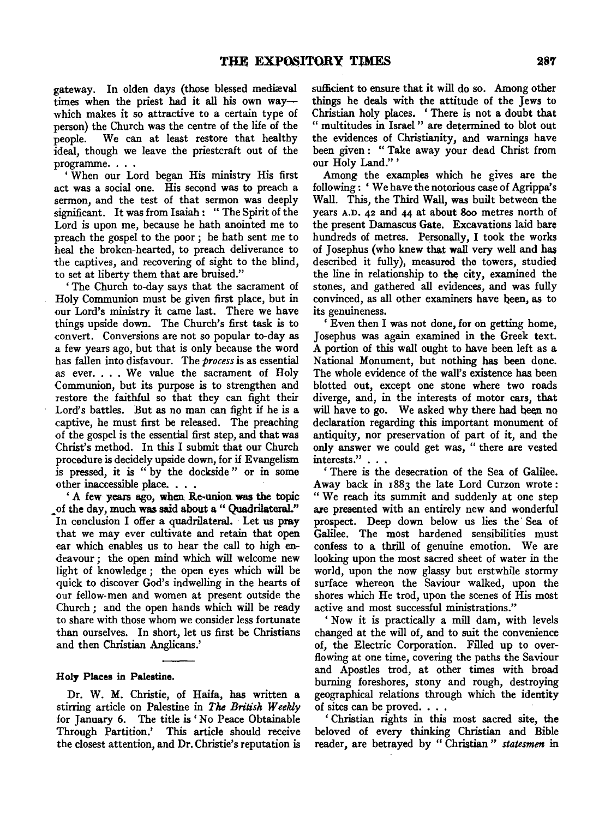gateway. In olden days (those blessed mediæval times when the priest had it all his own waywhich makes it so attractive to a certain type of person) the Church was the centre of the life of the people. We can at least restore that healthy ideal, though we leave the priestcraft out of the programme. . . .

' When our Lord began His ministry His first act was a social one. His second was to preach a sermon, and the test of that sermon was deeply significant. It was from Isaiah: "The Spirit of the Lord is upon me, because he hath anointed me to preach the gospel to the poor ; he hath sent me to heal the broken-hearted, to preach deliverance to the captives, and recovering of sight to the blind, to set at liberty them that are bruised."

'The Church to-day says that the sacrament of Holy Communion must be given first place, but in our Lord's ministry it came last. There we have things upside down. The Church's first task is to convert. Conversions are not so popular to-day as a few years ago, but that is only because the word has fallen into disfavour. The *process* is as essential as ever .... We value the sacrament of Holy as ever.... We value the sacrament of Holy Communion, but its purpose is to strengthen and restore the faithful so that they can fight their Lord's battles. But as no man can fight if he is a captive, he must first be released. The preaching of the gospel is the essential first step, and that was Christ's method. In this I submit that our Church procedure is decidely upside down, for if Evangelism is pressed, it is " by the dockside " or in some other inaccessible place. . . .

' A few years ago, when Re-union was the topic of the day, much was said about a "Quadrilateral." In conclusion I offer a quadrilateral. Let us pray that we may ever cultivate and retain that open ear which enables us to hear the call to high endeavour; the open mind which will welcome new light of knowledge ; the open eyes which will be quick to discover God's indwelling in the hearts of our fellow-men and women at present outside the Church ; and the open hands which will be ready to share with those whom we consider less fortunate than ourselves. In short, let us first be Christians and then Christian Anglicans.'

# Holy Places in Palestine.

Dr. W. M. Christie, of Haifa, has written a stirring article on Palestine in *The British Weekly*  for January 6. The title is' No Peace Obtainable Through Partition.' This article should receive the closest attention, and Dr. Christie's reputation is sufficient to ensure that it will do so. Among other things he deals with the attitude of the Jews to Christian holy places. ' There is not a doubt that " multitudes in Israel " are determined to blot out the evidences of Christianity, and warnings have been given : " Take away your dead Christ from our Holy Land."'

Among the examples which he gives are the following : 'We have the notorious case of Agrippa's Wall. This, the Third Wall, was built between the years A.D. 42 and 44 at about 8oo metres north of the present Damascus Gate. Excavations laid bare hundreds of metres. Personally, I took the works of Josephus (who knew that wall very well and has described it fully), measured the towers, studied the line in relationship to the city, examined the stones, and gathered all evidences, and was fully convinced, as all other examiners have been, as to its genuineness.

' Even then I was not done, for on getting home, J osephus was again examined in the Greek text. A portion of this wall ought to have been left as a National Monument, but nothing has been done. The whole evidence of the wall's existence has been blotted out, except one stone where two roads diverge, and, in the interests of motor cars, that will have to go. We asked why there had been no declaration regarding this important monument of antiquity, nor preservation of part of it, and the many, and present the plant of the could not the plant of the plant of the plant of the plant of the state of the state of the state of the state of the state of the state of the state of the state of the state of the stat ' There is the desecration of the Sea of Galilee.

Away back in 1883 the late Lord Curzon wrote: "We reach its summit and suddenly at one step are presented with an entirely new and wonderful prospect. Deep down below us lies the Sea of Galilee. The most hardened sensibilities must confess to a, thrill of genuine emotion. We are looking upon the most sacred sheet of water in the world, upon the now glassy but erstwhile stormy surface whereon the Saviour walked, upon the shores which He trod, upon the scenes of His most active and most successful ministrations."

'Now it is practically a mill dam, with levels changed at the will of, and to suit the convenience of, the Electric Corporation. Filled up to overflowing at one time, covering the paths the Saviour and Apostles trod, at other times with broad burning foreshores, stony and rough, destroying geographical relations through which the identity of sites can be proved. . . .

' Christian rights in this most sacred site, the beloved of every thinking Christian and Bible reader, are betrayed by "Christian" statesmen in